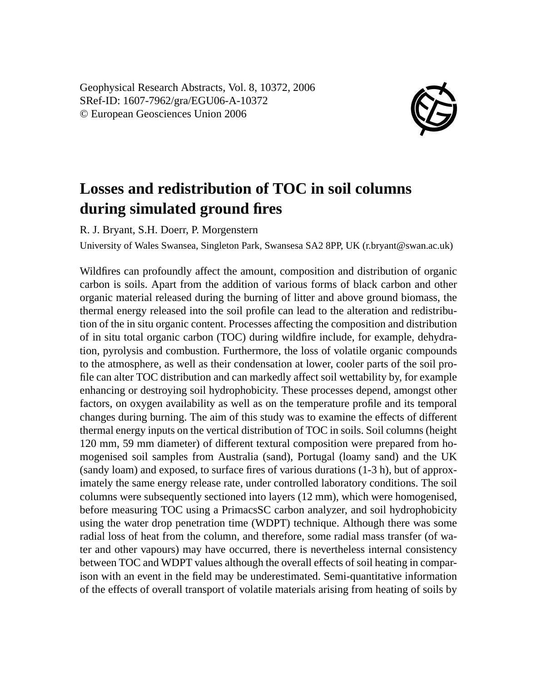Geophysical Research Abstracts, Vol. 8, 10372, 2006 SRef-ID: 1607-7962/gra/EGU06-A-10372 © European Geosciences Union 2006



## **Losses and redistribution of TOC in soil columns during simulated ground fires**

R. J. Bryant, S.H. Doerr, P. Morgenstern

University of Wales Swansea, Singleton Park, Swansesa SA2 8PP, UK (r.bryant@swan.ac.uk)

Wildfires can profoundly affect the amount, composition and distribution of organic carbon is soils. Apart from the addition of various forms of black carbon and other organic material released during the burning of litter and above ground biomass, the thermal energy released into the soil profile can lead to the alteration and redistribution of the in situ organic content. Processes affecting the composition and distribution of in situ total organic carbon (TOC) during wildfire include, for example, dehydration, pyrolysis and combustion. Furthermore, the loss of volatile organic compounds to the atmosphere, as well as their condensation at lower, cooler parts of the soil profile can alter TOC distribution and can markedly affect soil wettability by, for example enhancing or destroying soil hydrophobicity. These processes depend, amongst other factors, on oxygen availability as well as on the temperature profile and its temporal changes during burning. The aim of this study was to examine the effects of different thermal energy inputs on the vertical distribution of TOC in soils. Soil columns (height 120 mm, 59 mm diameter) of different textural composition were prepared from homogenised soil samples from Australia (sand), Portugal (loamy sand) and the UK (sandy loam) and exposed, to surface fires of various durations (1-3 h), but of approximately the same energy release rate, under controlled laboratory conditions. The soil columns were subsequently sectioned into layers (12 mm), which were homogenised, before measuring TOC using a PrimacsSC carbon analyzer, and soil hydrophobicity using the water drop penetration time (WDPT) technique. Although there was some radial loss of heat from the column, and therefore, some radial mass transfer (of water and other vapours) may have occurred, there is nevertheless internal consistency between TOC and WDPT values although the overall effects of soil heating in comparison with an event in the field may be underestimated. Semi-quantitative information of the effects of overall transport of volatile materials arising from heating of soils by